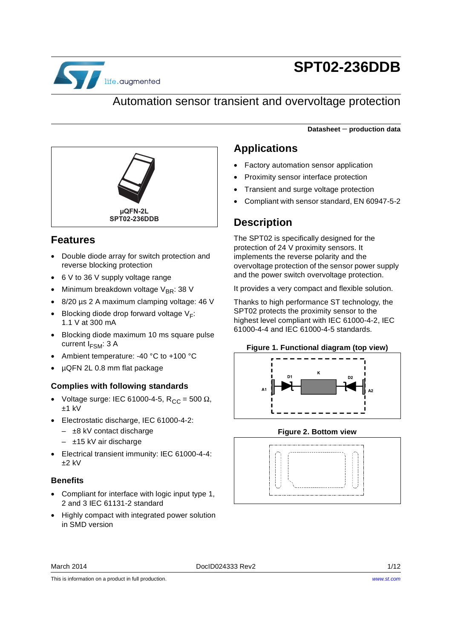

# **SPT02-236DDB**

### Automation sensor transient and overvoltage protection

**Datasheet** − **production data**



### **Features**

- Double diode array for switch protection and reverse blocking protection
- 6 V to 36 V supply voltage range
- Minimum breakdown voltage V<sub>BR</sub>: 38 V
- 8/20 µs 2 A maximum clamping voltage: 46 V
- Blocking diode drop forward voltage  $V_F$ : 1.1 V at 300 mA
- Blocking diode maximum 10 ms square pulse current  $I_{FSM}$ : 3 A
- Ambient temperature: -40 °C to +100 °C
- µQFN 2L 0.8 mm flat package

#### **Complies with following standards**

- Voltage surge: IEC 61000-4-5, R<sub>CC</sub> = 500  $\Omega$ ,  $+1$  kV
- Electrostatic discharge, IEC 61000-4-2:
	- ±8 kV contact discharge
	- ±15 kV air discharge
- Electrical transient immunity: IEC 61000-4-4:  $+2$  kV

#### **Benefits**

- Compliant for interface with logic input type 1, 2 and 3 IEC 61131-2 standard
- Highly compact with integrated power solution in SMD version

### **Applications**

- Factory automation sensor application
- Proximity sensor interface protection
- Transient and surge voltage protection
- Compliant with sensor standard, EN 60947-5-2

### **Description**

The SPT02 is specifically designed for the protection of 24 V proximity sensors. It implements the reverse polarity and the overvoltage protection of the sensor power supply and the power switch overvoltage protection.

It provides a very compact and flexible solution.

Thanks to high performance ST technology, the SPT02 protects the proximity sensor to the highest level compliant with IEC 61000-4-2, IEC 61000-4-4 and IEC 61000-4-5 standards.

<span id="page-0-0"></span>



**Figure 2. Bottom view**



March 2014 **DociD024333 Rev2** 2014 **DociD024333 Rev2** 

This is information on a product in full production.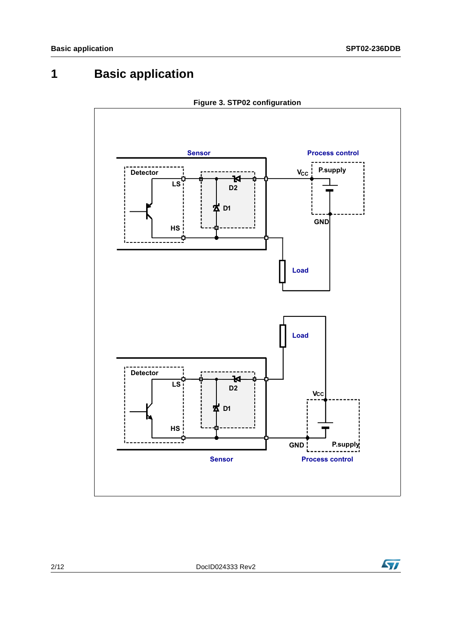## **1 Basic application**





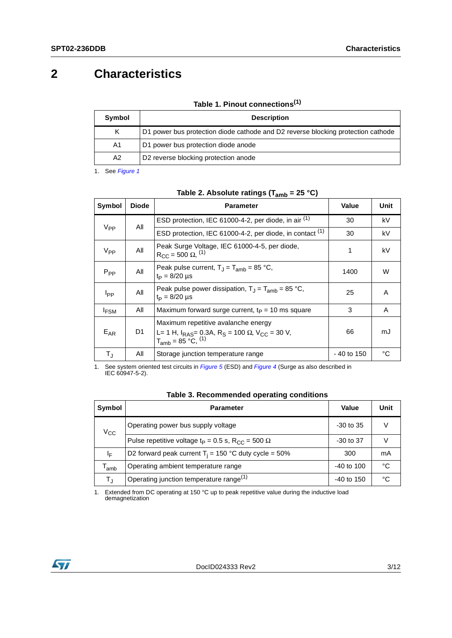## **2 Characteristics**

|  |  | Table 1. Pinout connections <sup>(1)</sup> |  |  |
|--|--|--------------------------------------------|--|--|
|--|--|--------------------------------------------|--|--|

| Symbol | <b>Description</b>                                                               |
|--------|----------------------------------------------------------------------------------|
| K      | D1 power bus protection diode cathode and D2 reverse blocking protection cathode |
| A1     | D1 power bus protection diode anode                                              |
| A2     | D <sub>2</sub> reverse blocking protection anode                                 |

1. See *[Figure 1](#page-0-0)*

<span id="page-2-0"></span>

|                  |              | ams י ישניים י                                                                                                                                                |              |      |
|------------------|--------------|---------------------------------------------------------------------------------------------------------------------------------------------------------------|--------------|------|
| Symbol           | <b>Diode</b> | <b>Parameter</b>                                                                                                                                              | Value        | Unit |
|                  | All          | ESD protection, IEC 61000-4-2, per diode, in air (1)                                                                                                          | 30           | kV   |
| $V_{PP}$         |              | ESD protection, IEC 61000-4-2, per diode, in contact (1)                                                                                                      | 30           | kV   |
| $V_{PP}$         | All          | Peak Surge Voltage, IEC 61000-4-5, per diode,<br>$R_{CC}$ = 500 $\Omega$ , <sup>(1)</sup>                                                                     | 1            | kV   |
| $P_{PP}$         | All          | Peak pulse current, $T_1 = T_{amb} = 85 °C$ ,<br>$t_P = 8/20 \mu s$                                                                                           | 1400         | W    |
| I <sub>PP</sub>  | All          | Peak pulse power dissipation, $T_{\rm J} = T_{\rm amb} = 85$ °C,<br>$t_P = 8/20 \mu s$                                                                        | 25           | A    |
| <sup>I</sup> FSM | All          | Maximum forward surge current, $tP = 10$ ms square                                                                                                            | 3            | Α    |
| $E_{AR}$         | D1           | Maximum repetitive avalanche energy<br>L= 1 H, $I_{RAS}$ = 0.3A, R <sub>S</sub> = 100 $\Omega$ , V <sub>CC</sub> = 30 V,<br>$T_{amb}$ = 85 °C, <sup>(1)</sup> | 66           | mJ   |
| T,               | All          | Storage junction temperature range                                                                                                                            | $-40$ to 150 | °C   |

#### **Table 2. Absolute ratings (Tamb = 25 °C)**

1. See system oriented test circuits in *[Figure 5](#page-4-0)* (ESD) and *[Figure 4](#page-4-1)* (Surge as also described in IEC 60947-5-2).

|  | Table 3. Recommended operating conditions |  |  |
|--|-------------------------------------------|--|--|
|--|-------------------------------------------|--|--|

| Symbol                      | <b>Parameter</b>                                                                | Value          | Unit |
|-----------------------------|---------------------------------------------------------------------------------|----------------|------|
| $V_{\rm CC}$                | Operating power bus supply voltage                                              | $-30$ to $35$  |      |
|                             | Pulse repetitive voltage t <sub>P</sub> = 0.5 s, R <sub>CC</sub> = 500 $\Omega$ | -30 to 37      |      |
| ΙĘ                          | D2 forward peak current $T_i = 150$ °C duty cycle = 50%                         | 300            | mA   |
| $\mathsf{T}_{\mathsf{amb}}$ | Operating ambient temperature range                                             | $-40$ to $100$ | °C   |
| т,                          | Operating junction temperature range <sup>(1)</sup>                             | $-40$ to $150$ | °€   |

1. Extended from DC operating at 150 °C up to peak repetitive value during the inductive load demagnetization

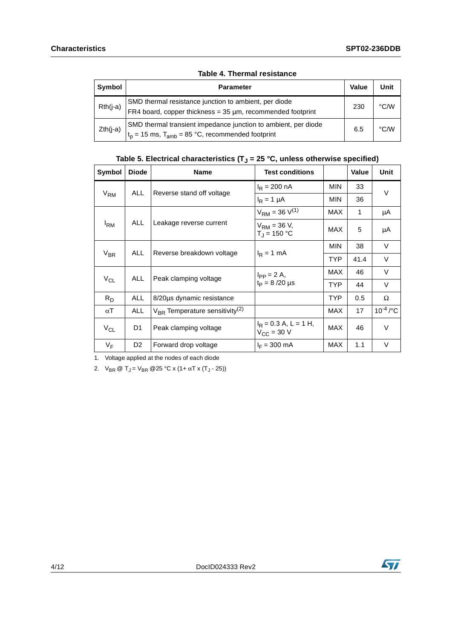| Symbol     | <b>Parameter</b>                                                                                                          | Value | Unit               |
|------------|---------------------------------------------------------------------------------------------------------------------------|-------|--------------------|
| $Rth(i-a)$ | SMD thermal resistance junction to ambient, per diode<br>FR4 board, copper thickness = $35 \mu m$ , recommended footprint | 230   | $\rm ^{\circ}$ C/W |
| $Zth(i-a)$ | SMD thermal transient impedance junction to ambient, per diode<br>$t_p = 15$ ms, $T_{amb} = 85$ °C, recommended footprint | 6.5   | $\degree$ C/W      |

#### **Table 4. Thermal resistance**

### Table 5. Electrical characteristics  $(T_J = 25 \degree C$ , unless otherwise specified)

| Symbol            | <b>Diode</b>              | <b>Name</b>                                     | <b>Test conditions</b>                            |            | Value | Unit                     |
|-------------------|---------------------------|-------------------------------------------------|---------------------------------------------------|------------|-------|--------------------------|
|                   | <b>ALL</b>                |                                                 | $I_R = 200 \text{ nA}$                            | MIN        | 33    | V                        |
| $V_{\mathsf{RM}}$ |                           | Reverse stand off voltage                       | $I_R = 1 \mu A$                                   | MIN        | 36    |                          |
|                   |                           |                                                 | $V_{\text{RM}}$ = 36 $V^{(1)}$                    | <b>MAX</b> | 1     | μA                       |
| <sup>I</sup> RM   | ALL.                      | Leakage reverse current                         | $V_{RM}$ = 36 V,<br>$T_{\rm J}$ = 150 °C          | MAX        | 5     | μA                       |
|                   | <b>ALL</b>                |                                                 |                                                   | MIN        | 38    | $\vee$                   |
| $V_{BR}$          | Reverse breakdown voltage | $I_R = 1$ mA                                    | <b>TYP</b>                                        | 41.4       | V     |                          |
|                   |                           | Peak clamping voltage                           | $I_{PP} = 2 A$ ,<br>$t_P = 8/20 \mu s$            | MAX        | 46    | V                        |
| $V_{CL}$          | ALL                       |                                                 |                                                   | TYP.       | 44    | V                        |
| $R_D$             | ALL                       | 8/20µs dynamic resistance                       |                                                   | TYP.       | 0.5   | Ω                        |
| $\alpha$ T        | <b>ALL</b>                | $V_{BR}$ Temperature sensitivity <sup>(2)</sup> |                                                   | <b>MAX</b> | 17    | $10^{-4}$ / $^{\circ}$ C |
| $V_{CL}$          | D1                        | Peak clamping voltage                           | $I_R$ = 0.3 A, L = 1 H,<br>$V_{\text{CC}}$ = 30 V | MAX        | 46    | $\vee$                   |
| $V_F$             | D <sub>2</sub>            | Forward drop voltage                            | $I_F = 300$ mA                                    | <b>MAX</b> | 1.1   | V                        |

1. Voltage applied at the nodes of each diode

2.  $V_{BR} \otimes T_J = V_{BR} \otimes 25 \text{ °C} \times (1 + \alpha T \times (T_J - 25))$ 

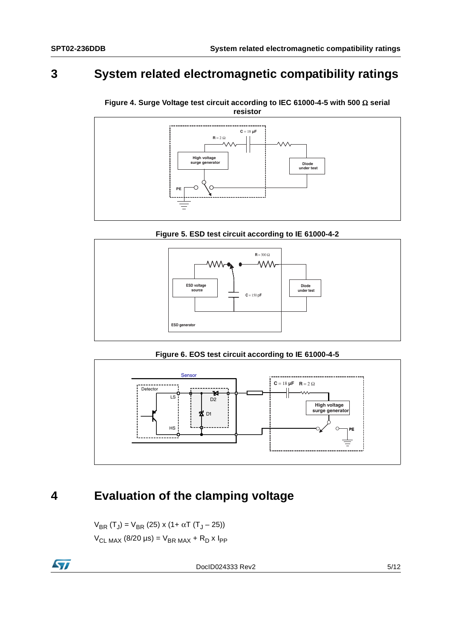## **3 System related electromagnetic compatibility ratings**



<span id="page-4-1"></span>**Figure 4. Surge Voltage test circuit according to IEC 61000-4-5 with 500** Ω **serial resistor**



<span id="page-4-0"></span>

**Figure 6. EOS test circuit according to IE 61000-4-5**



## **4 Evaluation of the clamping voltage**

 $V_{BR} (T_J) = V_{BR} (25) \times (1 + \alpha T (T_J - 25))$  $V_{CL MAX}$  (8/20 µs) =  $V_{BR MAX}$  + R<sub>D</sub> x I<sub>PP</sub>

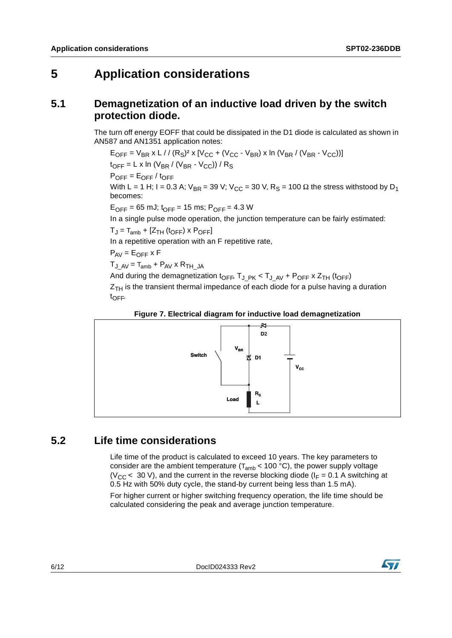## **5 Application considerations**

### **5.1 Demagnetization of an inductive load driven by the switch protection diode.**

The turn off energy EOFF that could be dissipated in the D1 diode is calculated as shown in AN587 and AN1351 application notes:

 $E_{OFF} = V_{BR} x L // (R<sub>S</sub>)<sup>2</sup> x [V<sub>CC</sub> + (V<sub>CC</sub> - V<sub>BR</sub>) x ln (V<sub>BR</sub> / (V<sub>BR</sub> - V<sub>CC</sub>))]$  $t_{\text{OFF}} = L \times \ln (V_{\text{BR}} / (V_{\text{BR}} - V_{\text{CC}})) / R_{\text{S}}$  $P_{OFF} = E_{OFF} / t_{OFF}$ With L = 1 H; I = 0.3 A; V<sub>BR</sub> = 39 V; V<sub>CC</sub> = 30 V, R<sub>S</sub> = 100  $\Omega$  the stress withstood by D<sub>1</sub> becomes:

 $E_{\text{OFF}}$  = 65 mJ;  $t_{\text{OFF}}$  = 15 ms;  $P_{\text{OFF}}$  = 4.3 W

In a single pulse mode operation, the junction temperature can be fairly estimated:

 $T_J = T_{amb} + [Z_{TH} (t_{OFF}) \times P_{OFF}]$ 

In a repetitive operation with an F repetitive rate,

 $P_{AV} = E_{OFF} \times F$ 

 $T_{JAV} = T_{amb} + P_{AV} \times R_{THJA}$ 

And during the demagnetization  $t_{\text{OFF}}$ ,  $T_{\text{J-PK}} < T_{\text{J-AV}}$  +  $P_{\text{OFF}}$  x  $Z_{\text{TH}}$  ( $t_{\text{OFF}}$ )

 $Z_{TH}$  is the transient thermal impedance of each diode for a pulse having a duration tOFF.

#### **Figure 7. Electrical diagram for inductive load demagnetization**



### **5.2 Life time considerations**

Life time of the product is calculated to exceed 10 years. The key parameters to consider are the ambient temperature ( $T_{amb}$  < 100 °C), the power supply voltage ( $V_{CC}$  < 30 V), and the current in the reverse blocking diode ( $I_F$  = 0.1 A switching at 0.5 Hz with 50% duty cycle, the stand-by current being less than 1.5 mA).

For higher current or higher switching frequency operation, the life time should be calculated considering the peak and average junction temperature.

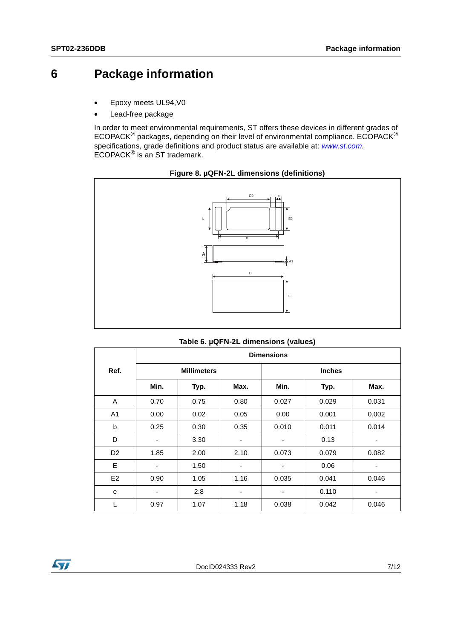## **6 Package information**

- Epoxy meets UL94,V0
- Lead-free package

In order to meet environmental requirements, ST offers these devices in different grades of ECOPACK® packages, depending on their level of environmental compliance. ECOPACK® specifications, grade definitions and product status are available at: *[www.st.com](http://www.st.com).* ECOPACK® is an ST trademark.





<span id="page-6-0"></span>

| Table 6. µQFN-2L dimensions (values) |  |
|--------------------------------------|--|
|--------------------------------------|--|

|                | <b>Dimensions</b> |                    |      |       |               |       |
|----------------|-------------------|--------------------|------|-------|---------------|-------|
| Ref.           |                   | <b>Millimeters</b> |      |       | <b>Inches</b> |       |
|                | Min.              | Typ.               | Max. | Min.  | Typ.          | Max.  |
| A              | 0.70              | 0.75               | 0.80 | 0.027 | 0.029         | 0.031 |
| A <sub>1</sub> | 0.00              | 0.02               | 0.05 | 0.00  | 0.001         | 0.002 |
| b              | 0.25              | 0.30               | 0.35 | 0.010 | 0.011         | 0.014 |
| D              | ٠                 | 3.30               | ٠    | ٠     | 0.13          |       |
| D <sub>2</sub> | 1.85              | 2.00               | 2.10 | 0.073 | 0.079         | 0.082 |
| Е              | ٠                 | 1.50               |      | ٠     | 0.06          |       |
| E <sub>2</sub> | 0.90              | 1.05               | 1.16 | 0.035 | 0.041         | 0.046 |
| e              | ٠                 | 2.8                |      | ۰     | 0.110         |       |
| L              | 0.97              | 1.07               | 1.18 | 0.038 | 0.042         | 0.046 |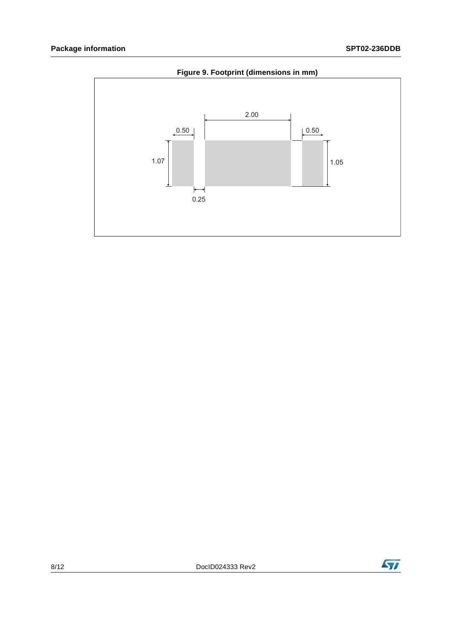<span id="page-7-0"></span>

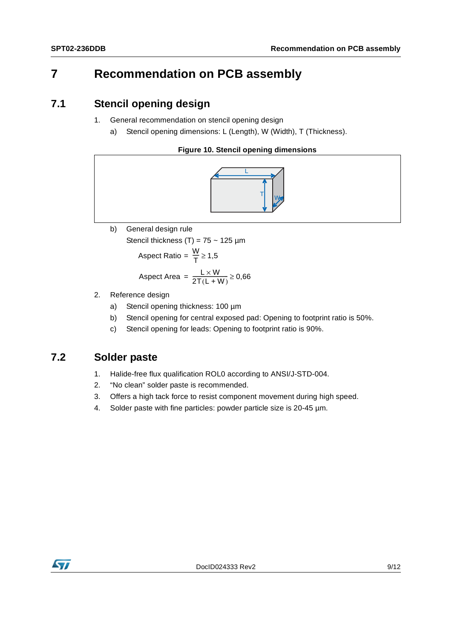## **7 Recommendation on PCB assembly**

#### **7.1 Stencil opening design**

- 1. General recommendation on stencil opening design
	- a) Stencil opening dimensions: L (Length), W (Width), T (Thickness).

#### **Figure 10. Stencil opening dimensions**



#### b) General design rule

Stencil thickness (T) =  $75 \sim 125 \mu m$ 

$$
Aspect Ratio = \frac{W}{T} \ge 1.5
$$

$$
Aspect Area = \frac{L \times W}{2T(L+W)} \ge 0,66
$$

- 2. Reference design
	- a) Stencil opening thickness: 100 µm
	- b) Stencil opening for central exposed pad: Opening to footprint ratio is 50%.
	- c) Stencil opening for leads: Opening to footprint ratio is 90%.

### **7.2 Solder paste**

- 1. Halide-free flux qualification ROL0 according to ANSI/J-STD-004.
- 2. "No clean" solder paste is recommended.
- 3. Offers a high tack force to resist component movement during high speed.
- 4. Solder paste with fine particles: powder particle size is 20-45 µm.

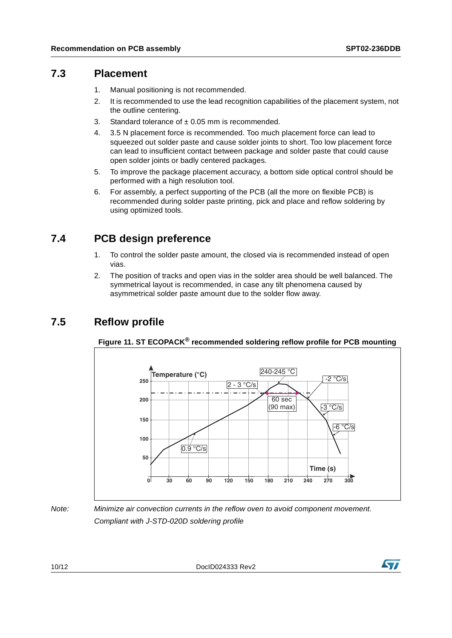#### **7.3 Placement**

- 1. Manual positioning is not recommended.
- 2. It is recommended to use the lead recognition capabilities of the placement system, not the outline centering.
- 3. Standard tolerance of ± 0.05 mm is recommended.
- 4. 3.5 N placement force is recommended. Too much placement force can lead to squeezed out solder paste and cause solder joints to short. Too low placement force can lead to insufficient contact between package and solder paste that could cause open solder joints or badly centered packages.
- 5. To improve the package placement accuracy, a bottom side optical control should be performed with a high resolution tool.
- 6. For assembly, a perfect supporting of the PCB (all the more on flexible PCB) is recommended during solder paste printing, pick and place and reflow soldering by using optimized tools.

### **7.4 PCB design preference**

- 1. To control the solder paste amount, the closed via is recommended instead of open vias.
- 2. The position of tracks and open vias in the solder area should be well balanced. The symmetrical layout is recommended, in case any tilt phenomena caused by asymmetrical solder paste amount due to the solder flow away.

### **7.5 Reflow profile**



**Figure 11. ST ECOPACK® recommended soldering reflow profile for PCB mounting**

*Note: Minimize air convection currents in the reflow oven to avoid component movement. Compliant with J-STD-020D soldering profile* 

10/12 DocID024333 Rev2

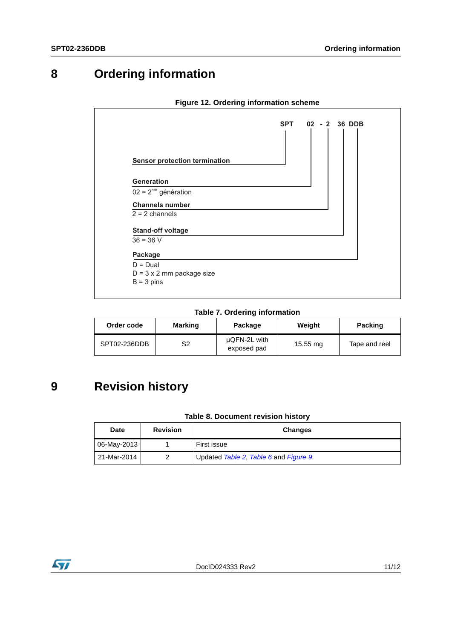## **8 Ordering information**



#### **Figure 12. Ordering information scheme**

**Table 7. Ordering information**

| Order code   | <b>Marking</b> | Package                     | Weight   | <b>Packing</b> |
|--------------|----------------|-----------------------------|----------|----------------|
| SPT02-236DDB | S2             | µQFN-2L with<br>exposed pad | 15.55 mg | Tape and reel  |

## **9 Revision history**

#### **Table 8. Document revision history**

| <b>Date</b> | <b>Revision</b> | <b>Changes</b>                         |
|-------------|-----------------|----------------------------------------|
| 06-May-2013 |                 | First issue                            |
| 21-Mar-2014 |                 | Updated Table 2, Table 6 and Figure 9. |